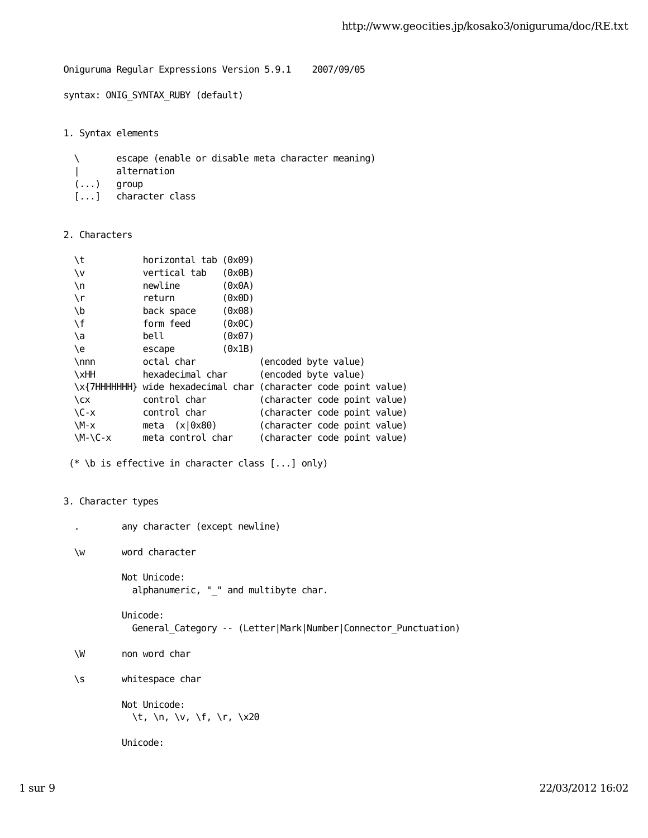Oniguruma Regular Expressions Version 5.9.1 2007/09/05

syntax: ONIG\_SYNTAX\_RUBY (default)

1. Syntax elements

 \ escape (enable or disable meta character meaning) | alternation (...) group [...] character class

2. Characters

| ١t          | horizontal tab (0x09) |        |                                                                |
|-------------|-----------------------|--------|----------------------------------------------------------------|
| ١v          | vertical tab          | (0x0B) |                                                                |
| $\n\big\}n$ | newline               | (0x0A) |                                                                |
| ۱r          | return                | (0x0D) |                                                                |
| \b          | back space            | (0x08) |                                                                |
| \f          | form feed             | (0x0C) |                                                                |
| ۱a          | bell                  | (0x07) |                                                                |
| ١e          | escape                | (0x1B) |                                                                |
| $\nnnn$     | octal char            |        | (encoded byte value)                                           |
| \xHH        | hexadecimal char      |        | (encoded byte value)                                           |
|             |                       |        | \x{7HHHHHH} wide hexadecimal char (character code point value) |
| $\chi$      | control char          |        | (character code point value)                                   |
| $C - x$     | control char          |        | (character code point value)                                   |
| $M-x$       | meta $(x 0x80)$       |        | (character code point value)                                   |
| $M-\C-x$    | meta control char     |        | (character code point value)                                   |
|             |                       |        |                                                                |

(\* \b is effective in character class [...] only)

```
3. Character types
```

```
 . any character (except newline)
```
\w word character

 Not Unicode: alphanumeric, "\_" and multibyte char.

 Unicode: General\_Category -- (Letter|Mark|Number|Connector\_Punctuation)

\W non word char

\s whitespace char

```
 Not Unicode:
   \t, \n, \v, \f, \r, \x20
```
Unicode: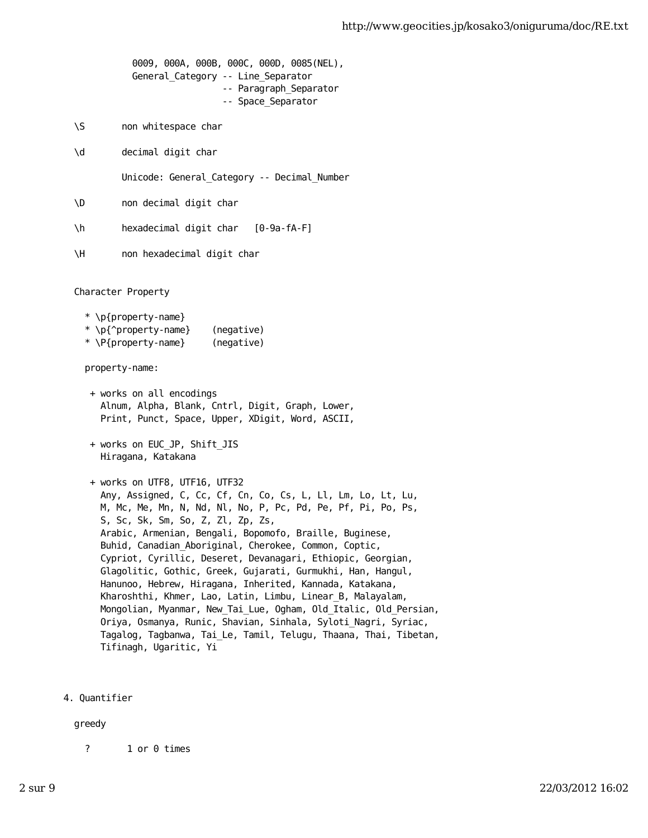0009, 000A, 000B, 000C, 000D, 0085(NEL), General\_Category -- Line\_Separator -- Paragraph\_Separator -- Space\_Separator \S non whitespace char \d decimal digit char Unicode: General\_Category -- Decimal\_Number \D non decimal digit char \h hexadecimal digit char [0-9a-fA-F] \H non hexadecimal digit char Character Property \* \p{property-name} \* \p{^property-name} (negative) \* \P{property-name} (negative) property-name: + works on all encodings Alnum, Alpha, Blank, Cntrl, Digit, Graph, Lower, Print, Punct, Space, Upper, XDigit, Word, ASCII, + works on EUC\_JP, Shift\_JIS Hiragana, Katakana + works on UTF8, UTF16, UTF32 Any, Assigned, C, Cc, Cf, Cn, Co, Cs, L, Ll, Lm, Lo, Lt, Lu, M, Mc, Me, Mn, N, Nd, Nl, No, P, Pc, Pd, Pe, Pf, Pi, Po, Ps, S, Sc, Sk, Sm, So, Z, Zl, Zp, Zs, Arabic, Armenian, Bengali, Bopomofo, Braille, Buginese, Buhid, Canadian\_Aboriginal, Cherokee, Common, Coptic, Cypriot, Cyrillic, Deseret, Devanagari, Ethiopic, Georgian, Glagolitic, Gothic, Greek, Gujarati, Gurmukhi, Han, Hangul, Hanunoo, Hebrew, Hiragana, Inherited, Kannada, Katakana, Kharoshthi, Khmer, Lao, Latin, Limbu, Linear\_B, Malayalam, Mongolian, Myanmar, New\_Tai\_Lue, Ogham, Old\_Italic, Old\_Persian, Oriya, Osmanya, Runic, Shavian, Sinhala, Syloti\_Nagri, Syriac, Tagalog, Tagbanwa, Tai\_Le, Tamil, Telugu, Thaana, Thai, Tibetan,

4. Quantifier

areedy

? 1 or 0 times

Tifinagh, Ugaritic, Yi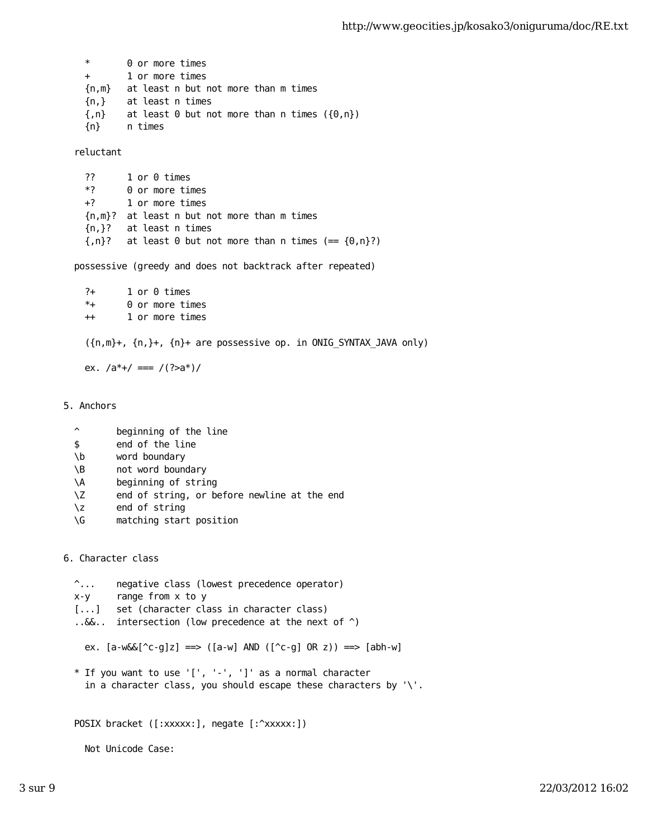\* 0 or more times + 1 or more times {n,m} at least n but not more than m times {n,} at least n times  ${n}$  at least 0 but not more than n times  $({0,n})$ {n} n times

reluctant

 ?? 1 or 0 times \*? 0 or more times +? 1 or more times {n,m}? at least n but not more than m times {n,}? at least n times  ${n}$ ? at least 0 but not more than n times (==  ${0,n}$ ?)

possessive (greedy and does not backtrack after repeated)

 ?+ 1 or 0 times \*+ 0 or more times ++ 1 or more times

({n,m}+, {n,}+, {n}+ are possessive op. in ONIG\_SYNTAX\_JAVA only)

ex.  $/a^*$ +/ ===  $/(?$ >a<sup>\*</sup>)/

5. Anchors

- ^ beginning of the line
- \$ end of the line
- \b word boundary
- \B not word boundary
- \A beginning of string
- \Z end of string, or before newline at the end
- \z end of string
- \G matching start position

6. Character class

```
 ^... negative class (lowest precedence operator)
 x-y range from x to y
[...] set (character class in character class)
 ..&&.. intersection (low precedence at the next of ^)
  ex. [a-w66[^c-g]z] \implies ([a-w] \text{ AND } ([c-g] \text{ OR } z)) \implies [abh-w] * If you want to use '[', '-', ']' as a normal character
   in a character class, you should escape these characters by '\'.
 POSIX bracket ([:xxxxx:], negate [:^xxxxx:])
   Not Unicode Case:
```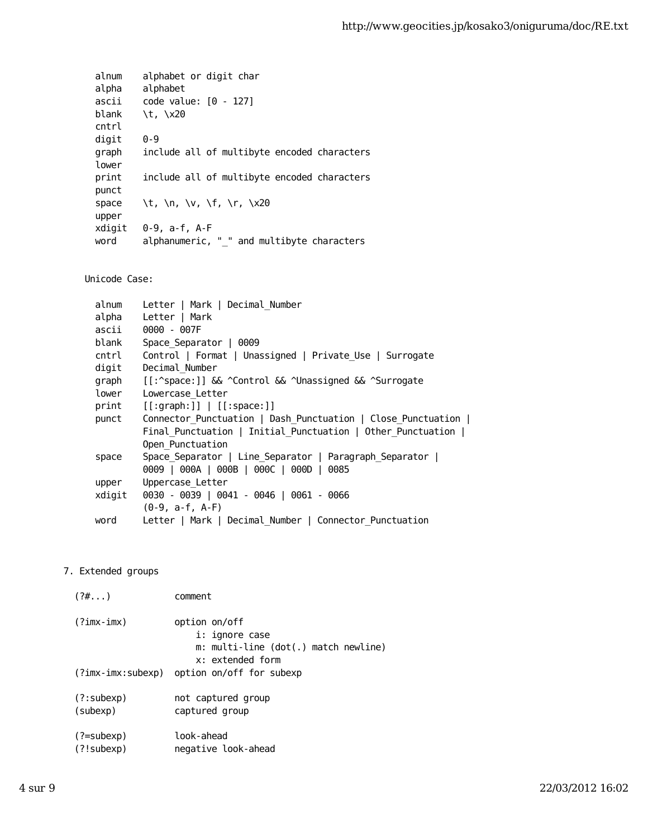alnum alphabet or digit char alpha alphabet ascii code value: [0 - 127] blank \t, \x20 cntrl digit 0-9 graph include all of multibyte encoded characters lower print include all of multibyte encoded characters punct space  $\lt$  \t, \n, \v, \f, \r, \x20 upper xdigit 0-9, a-f, A-F word alphanumeric, "\_" and multibyte characters

Unicode Case:

| alnum  | Letter   Mark   Decimal Number                               |
|--------|--------------------------------------------------------------|
| alpha  | Letter   Mark                                                |
| ascii  | $0000 - 007F$                                                |
| blank  | Space Separator   0009                                       |
| cntrl  | Control   Format   Unassigned   Private Use   Surrogate      |
| digit  | Decimal Number                                               |
| graph  | [[:^space:]] && ^Control && ^Unassigned && ^Surrogate        |
| lower  | Lowercase Letter                                             |
|        | $print$ [[:graph:]]   [[:space:]]                            |
| punct  | Connector Punctuation   Dash Punctuation   Close Punctuation |
|        | Final Punctuation   Initial Punctuation   Other Punctuation  |
|        | Open Punctuation                                             |
| space  | Space Separator   Line Separator   Paragraph Separator       |
|        | 0009   000A   000B   000C   000D   0085                      |
| upper  | Uppercase Letter                                             |
| xdigit | 0030 - 0039   0041 - 0046   0061 - 0066                      |
|        | $(0-9, a-f, A-F)$                                            |
| word   | Letter   Mark   Decimal_Number   Connector_Punctuation       |

## 7. Extended groups

| $(?\#)$                         | comment                                                                                     |
|---------------------------------|---------------------------------------------------------------------------------------------|
| $(?imx-imx)$                    | option on/off<br>i: ignore case<br>m: multi-line (dot(.) match newline)<br>x: extended form |
| (?imx-imx:subexp)               | option on/off for subexp                                                                    |
| (?:subexp)<br>(subexp)          | not captured group<br>captured group                                                        |
| $(? = subexp)$<br>$(?)$ subexp) | look-ahead<br>negative look-ahead                                                           |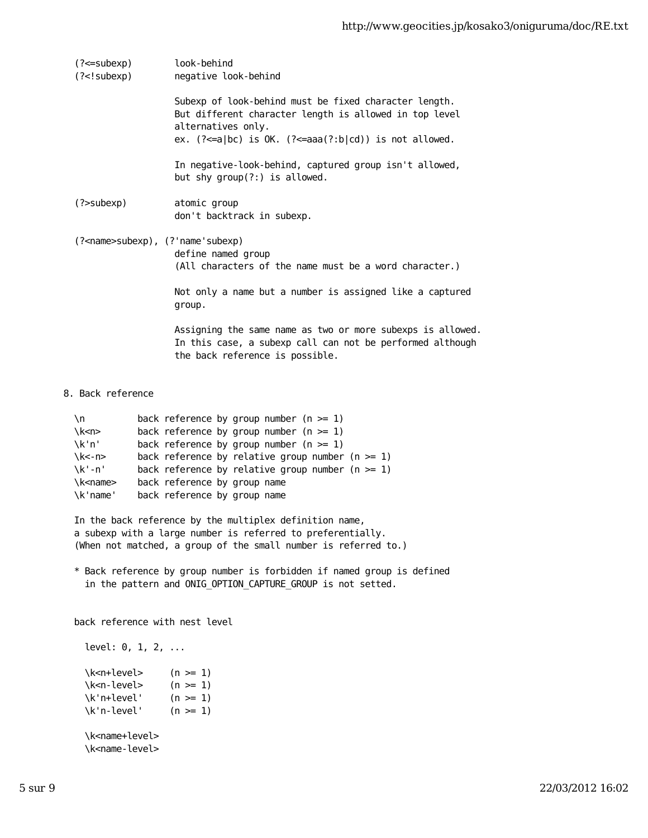|                                          | (?<=subexp)<br>(? subexp)</th <th>look-behind<br/>negative look-behind</th> | look-behind<br>negative look-behind                                                                                                                                                              |
|------------------------------------------|-----------------------------------------------------------------------------|--------------------------------------------------------------------------------------------------------------------------------------------------------------------------------------------------|
|                                          |                                                                             | Subexp of look-behind must be fixed character length.<br>But different character length is allowed in top level<br>alternatives only.<br>ex. $(?=a bc)$ is OK. $(?=aaa(?:b cd))$ is not allowed. |
|                                          |                                                                             |                                                                                                                                                                                                  |
|                                          |                                                                             | In negative-look-behind, captured group isn't allowed,<br>but shy group(?:) is allowed.                                                                                                          |
|                                          | $(?$ subexp $)$                                                             | atomic group<br>don't backtrack in subexp.                                                                                                                                                       |
|                                          |                                                                             |                                                                                                                                                                                                  |
| (? <name>subexp), (?'name'subexp)</name> |                                                                             |                                                                                                                                                                                                  |
|                                          |                                                                             | define named group<br>(All characters of the name must be a word character.)                                                                                                                     |
|                                          |                                                                             | Not only a name but a number is assigned like a captured<br>group.                                                                                                                               |
|                                          |                                                                             | Assigning the same name as two or more subexps is allowed.<br>In this case, a subexp call can not be performed although<br>the back reference is possible.                                       |
|                                          |                                                                             |                                                                                                                                                                                                  |

8. Back reference

| \n.                   | back reference by group number $(n \ge 1)$          |
|-----------------------|-----------------------------------------------------|
| $\kappa$ -n           | back reference by group number $(n \geq 1)$         |
| $\chi$ k'n'           | back reference by group number $(n \geq 1)$         |
| $\kappa$ - n $\kappa$ | back reference by relative group number $(n \ge 1)$ |
| $\chi$ k'-n'          | back reference by relative group number $(n \ge 1)$ |
| \k <name></name>      | back reference by group name                        |
| \k'name'              | back reference by group name                        |
|                       |                                                     |

 In the back reference by the multiplex definition name, a subexp with a large number is referred to preferentially. (When not matched, a group of the small number is referred to.)

 \* Back reference by group number is forbidden if named group is defined in the pattern and ONIG\_OPTION\_CAPTURE\_GROUP is not setted.

back reference with nest level

level: 0, 1, 2, ...  $\kappa$ -n+level>  $(n > = 1)$ \k<n-level>  $\kappa$ -n-level> (n >= 1)<br>\k'n+level' (n >= 1)  $\kappa'$ n-level' (n >= 1) \k<name+level> \k<name-level>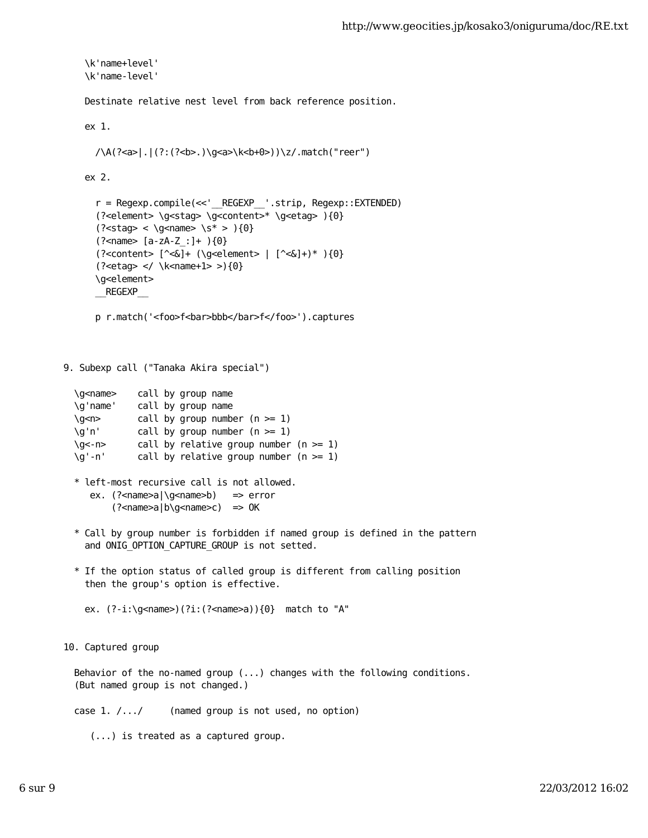```
 \k'name+level'
     \k'name-level'
     Destinate relative nest level from back reference position. 
     ex 1.
       /\A(?<a>|.|(?:(?<b>.)\g<a>\k<b+0>))\z/.match("reer")
     ex 2.
       r = Regexp.compile(<<'__REGEXP__'.strip, Regexp::EXTENDED)
       (?<element> \g<stag> \g<content>* \g<etag> ){0}
      (? < state> < \qquad < \qquad < \qquad < \
       (?<name> [a-zA-Z_:]+ ){0}
      ( ?<content> [ ^<&]+ (\qe^{-\alpha}) [ ^<&]+)* (0) (?<etag> </ \k<name+1> >){0}
       \g<element>
       __REGEXP__
      p r.match('<foo>f<br/>bar>bbb</bar>f</foo>').captures
9. Subexp call ("Tanaka Akira special")
   \g<name> call by group name
   \g'name' call by group name
  \gammas call by group number (n >= 1)
   \g'n' call by group number (n >= 1)
```

```
\qquad \qquad \text{call by relative group number } (n \geq 1) \g'-n' call by relative group number (n >= 1)
```
- \* left-most recursive call is not allowed. ex. (?<name>a|\g<name>b) => error (?<name>a|b\g<name>c) => OK
- \* Call by group number is forbidden if named group is defined in the pattern and ONIG\_OPTION\_CAPTURE\_GROUP is not setted.
- \* If the option status of called group is different from calling position then the group's option is effective.

ex. (?-i:\g<name>)(?i:(?<name>a)){0} match to "A"

10. Captured group

 Behavior of the no-named group (...) changes with the following conditions. (But named group is not changed.)

case 1. /.../ (named group is not used, no option)

(...) is treated as a captured group.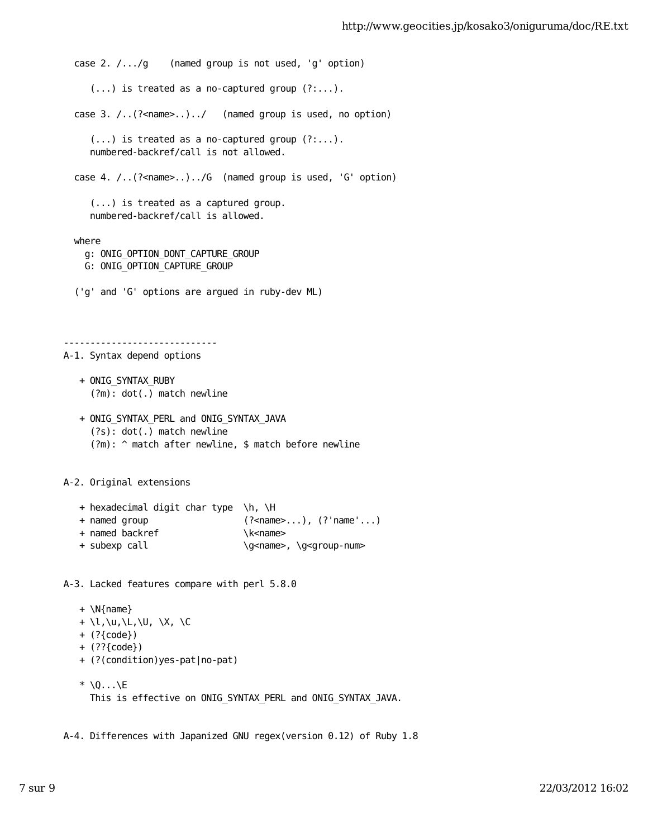```
 case 2. /.../g (named group is not used, 'g' option)
     (...) is treated as a no-captured group (?...). case 3. /..(?<name>..)../ (named group is used, no option)
      (...) is treated as a no-captured group (?:...).
     numbered-backref/call is not allowed.
  case 4. /..(?<name>..)../G (named group is used, 'G' option)
      (...) is treated as a captured group.
     numbered-backref/call is allowed.
  where
    g: ONIG_OPTION_DONT_CAPTURE_GROUP
    G: ONIG_OPTION_CAPTURE_GROUP
  ('g' and 'G' options are argued in ruby-dev ML)
-----------------------------
A-1. Syntax depend options
   + ONIG_SYNTAX_RUBY
      (?m): dot(.) match newline
   + ONIG_SYNTAX_PERL and ONIG_SYNTAX_JAVA
      (?s): dot(.) match newline
      (?m): ^ match after newline, $ match before newline
A-2. Original extensions
   + hexadecimal digit char type \h, \H
   + named group (?<name>...), (?'name'...)
  + named backref \kappa+ subexp call \qquad \g<name>, \g<group-num>
A-3. Lacked features compare with perl 5.8.0
   + \N{name}
   + \l,\u,\L,\U, \X, \C
   + (?{code})
   + (??{code})
   + (?(condition)yes-pat|no-pat)
```
 $*$  \Q...\E This is effective on ONIG\_SYNTAX\_PERL and ONIG\_SYNTAX\_JAVA.

A-4. Differences with Japanized GNU regex(version 0.12) of Ruby 1.8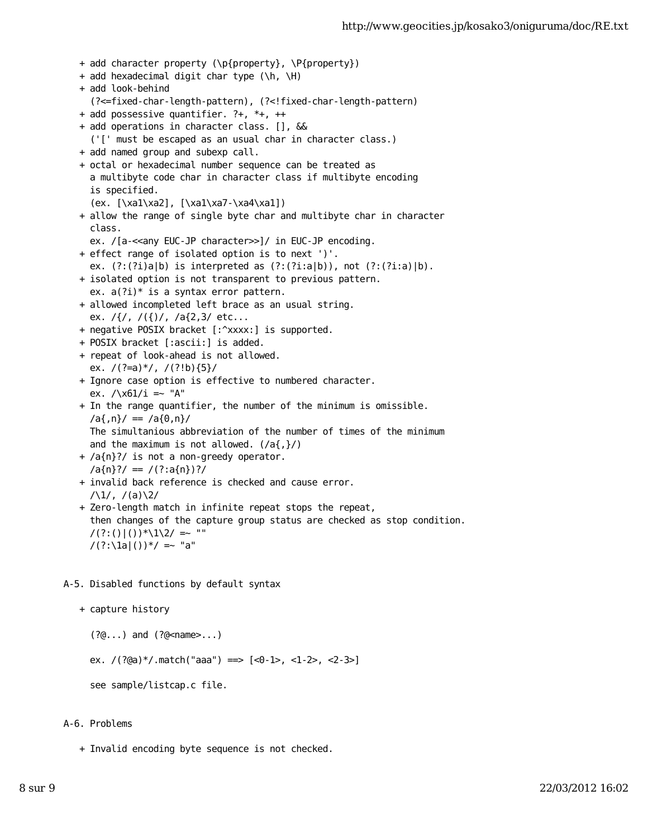```
 + add character property (\p{property}, \P{property})
 + add hexadecimal digit char type (\h, \H)
 + add look-behind
   (?<=fixed-char-length-pattern), (?<!fixed-char-length-pattern)
 + add possessive quantifier. ?+, *+, ++
 + add operations in character class. [], &&
   ('[' must be escaped as an usual char in character class.)
 + add named group and subexp call.
 + octal or hexadecimal number sequence can be treated as 
   a multibyte code char in character class if multibyte encoding
   is specified.
   (ex. [\xa1\xa2], [\xa1\xa7-\xa4\xa1])
 + allow the range of single byte char and multibyte char in character
   class.
  ex. /[a-<<any EUC-JP character>>]/ in EUC-JP encoding.
 + effect range of isolated option is to next ')'.
   ex. (?:(?i)a|b) is interpreted as (?:(?i:a|b)), not (?:(?i:a)|b).
 + isolated option is not transparent to previous pattern.
  ex. a(?i)* is a syntax error pattern.
 + allowed incompleted left brace as an usual string.
  ex. /\{/, /(\{)/, /a\{2,3/ etc...
 + negative POSIX bracket [:^xxxx:] is supported.
 + POSIX bracket [:ascii:] is added.
 + repeat of look-ahead is not allowed.
  ex. /(?=a)*(7.7!b) (5) + Ignore case option is effective to numbered character.
  ex. /\x01/i = ~ 'A' + In the range quantifier, the number of the minimum is omissible.
  \langle a\{,n\}\rangle = \langle a\{0,n\}\rangle The simultanious abbreviation of the number of times of the minimum
  and the maximum is not allowed. (\overline{a}, \overline{c}) + /a{n}?/ is not a non-greedy operator.
  /a{n}?/ == /(?:a{n})?/
 + invalid back reference is checked and cause error.
  /\lambda1/, /(a)\lambda2/
 + Zero-length match in infinite repeat stops the repeat,
   then changes of the capture group status are checked as stop condition.
  /(?:()) ()) *(1\2/) = * ""
  /(?:\1a)())*/ = - "a"
```
A-5. Disabled functions by default syntax

```
 + capture history
```

```
 (?@...) and (?@<name>...)
```
ex. /(?@a)\*/.match("aaa") ==> [<0-1>, <1-2>, <2-3>]

see sample/listcap.c file.

## A-6. Problems

+ Invalid encoding byte sequence is not checked.